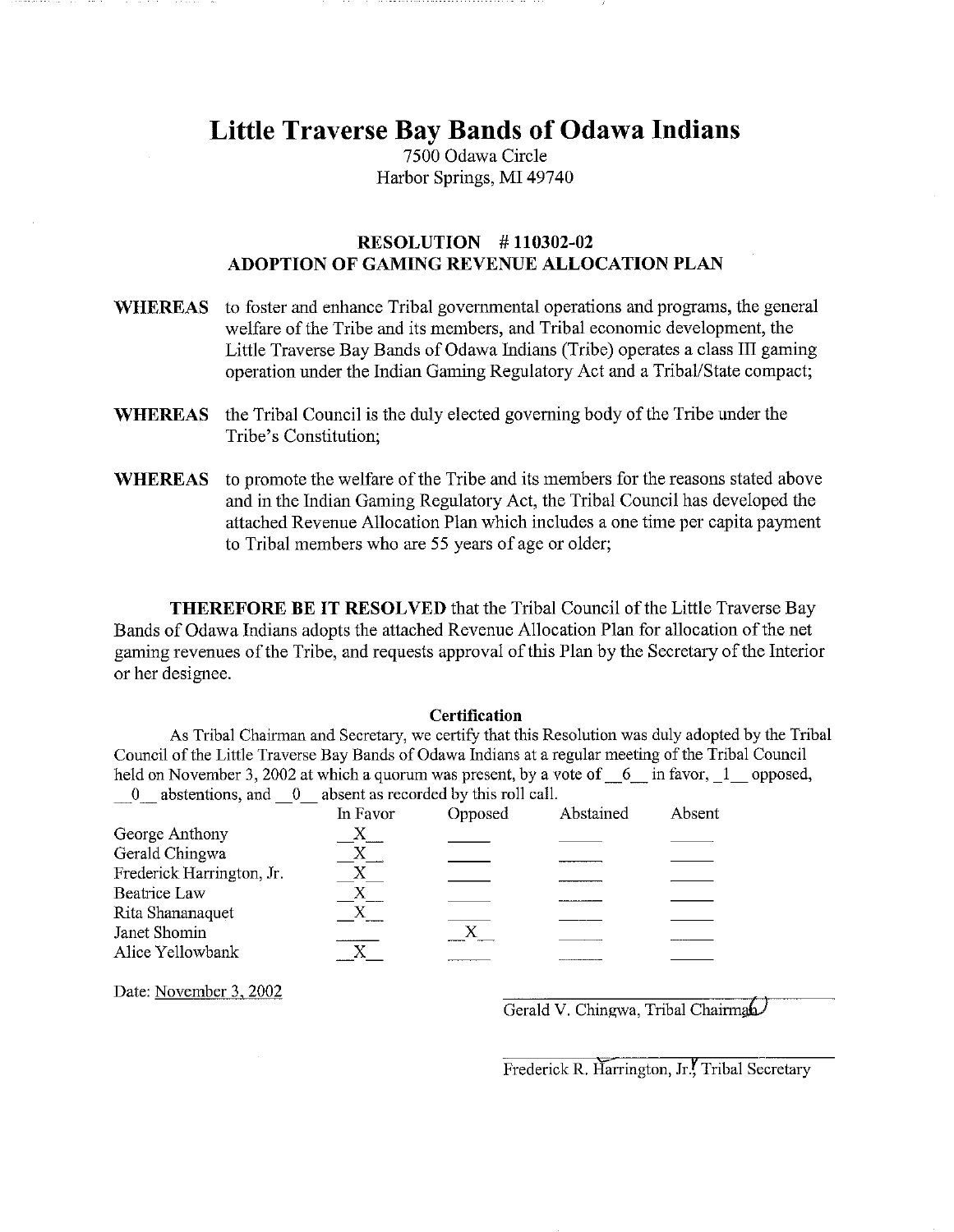# **Little Traverse Bay Bands of Odawa Indians**

7500 Odawa Circle Harbor Springs, MI 49740

## RESOLUTION # 110302-02 ADOPTION OF GAMING REVENUE ALLOCATION PLAN

| <b>WHEREAS</b> | to foster and enhance Tribal governmental operations and programs, the general<br>welfare of the Tribe and its members, and Tribal economic development, the<br>Little Traverse Bay Bands of Odawa Indians (Tribe) operates a class III gaming<br>operation under the Indian Gaming Regulatory Act and a Tribal/State compact; |
|----------------|--------------------------------------------------------------------------------------------------------------------------------------------------------------------------------------------------------------------------------------------------------------------------------------------------------------------------------|
| <b>WHEREAS</b> | the Tribal Council is the duly elected governing body of the Tribe under the<br>Tribe's Constitution;                                                                                                                                                                                                                          |
| WHEREAS        | to promote the welfare of the Tribe and its members for the reasons stated above<br>and in the Indian Gaming Regulatory Act, the Tribal Council has developed the<br>attached Revenue Allocation Plan which includes a one time per capita payment<br>to Tribal members who are 55 years of age or older;                      |

THEREFORE BE IT RESOLVED that the Tribal Council of the Little Traverse Bay Bands of Odawa Indians adopts the attached Revenue Allocation Plan for allocation of the net gaming revenues of the Tribe, and requests approval of this Plan by the Secretary of the Interior or her designee.

#### **Certification**

As Tribal Chairman and Secretary, we certify that this Resolution was duly adopted by the Tribal Council of the Little Traverse Bay Bands of Odawa Indians at a regular meeting of the Tribal Council held on November 3, 2002 at which a quorum was present, by a vote of  $6$  in favor,  $1$  opposed, 0 abstentions, and 0 absent as recorded by this roll call.

|                           | In Favor | Opposed | Abstained | Absent |
|---------------------------|----------|---------|-----------|--------|
| George Anthony            |          |         |           |        |
| Gerald Chingwa            |          |         |           |        |
| Frederick Harrington, Jr. |          |         |           |        |
| <b>Beatrice Law</b>       |          |         |           |        |
| Rita Shananaquet          |          |         |           |        |
| Janet Shomin              |          |         |           |        |
| Alice Yellowbank          |          |         |           |        |
|                           |          |         |           |        |

Date: November 3, 2002

Gerald V. Chingwa, Tribal Chairman

Frederick R. Harrington, Jr., Tribal Secretary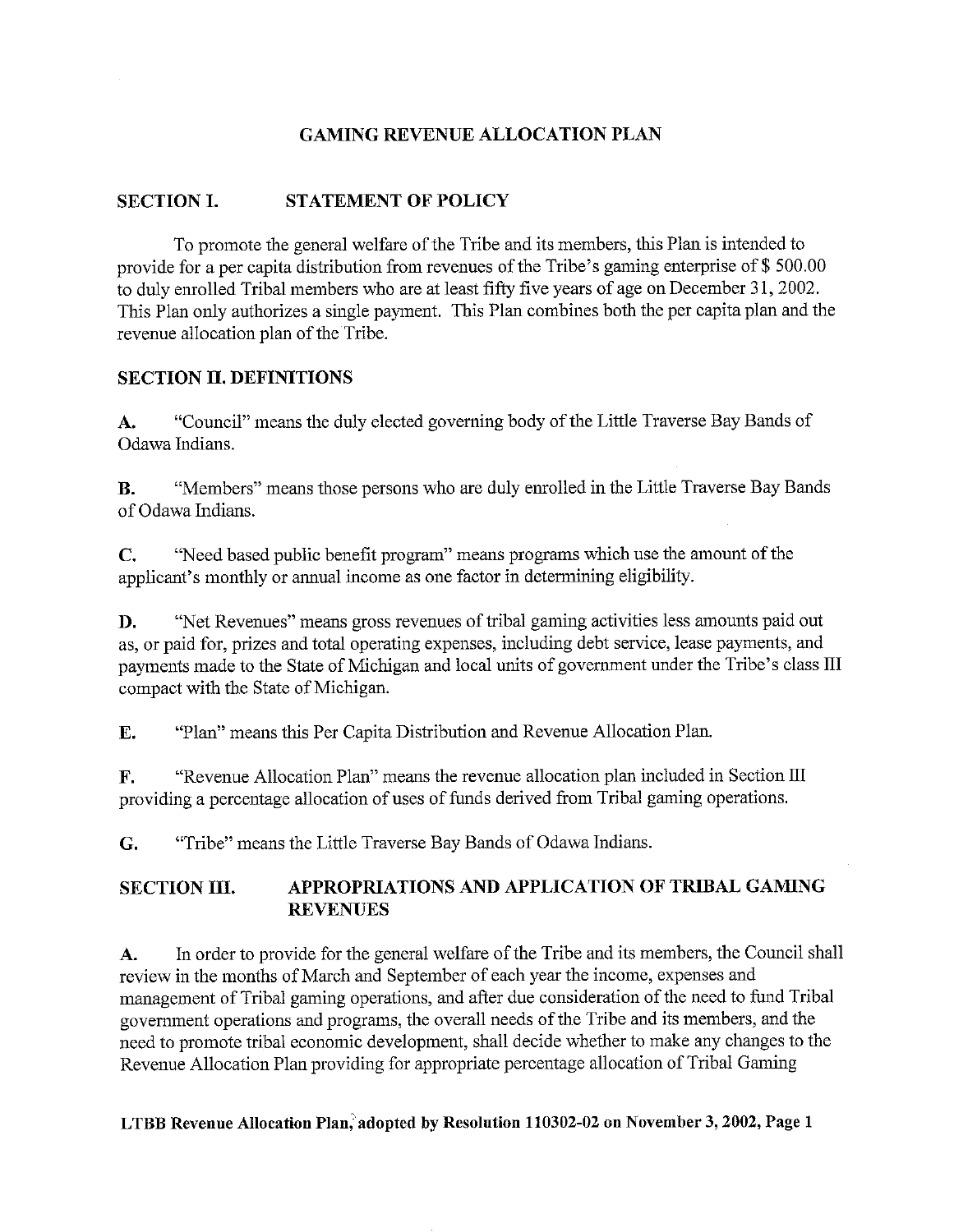### GAMING REVENUE ALLOCATION PLAN

### SECTION I. STATEMENT OF POLICY

To promote the general welfare of the Tribe and its members, this Plan is intended to provide for a per capita distribution from revenues of the Tribe's gaming enterprise of \$ 500.00 to duly enrolled Tribal members who are at least fifty five years of age on December 31, 2002. This Plan only authorizes a single payment. This Plan combines both the per capita plan and the revenue allocation plan of the Tribe.

#### SECTION IL DEFINITIONS

A. "Council" means the duly elected governing body of the Little Traverse Bay Bands of Odawa Indians.

B. "Members" means those persons who are duly enrolled in the Little Traverse Bay Bands of Odawa Indians.

C. "Need based public benefit program" means programs which use the amount of the applicant's monthly or annual income as one factor in determining eligibility.

D. "Net Revenues" means gross revenues of tribal gaming activities less amounts paid out as, or paid for, prizes and total operating expenses, including debt service, lease payments, and payments made to the State of Michigan and local units of government under the Tribe's class III compact with the State of Michigan.

E. "Plan" means this Per Capita Distribution and Revenue Allocation Plan.

F. "Revenue Allocation Plan" means the revenue allocation plan included in Section III providing a percentage allocation of uses of funds derived from Tribal gaming operations.

G. "Tribe" means the Little Traverse Bay Bands of Odawa Indians.

# SECTION III. APPROPRIATIONS AND APPLICATION OF TRIBAL GAMING REVENUES

A. In order to provide for the general welfare of the Tribe and its members, the Council shall review in the months of March and September of each year the income, expenses and management of Tribal gaming operations, and after due consideration of the need to fund Tribal government operations and programs, the overall needs of the Tribe and its members, and the need to promote tribal economic development, shall decide whether to make any changes to the Revenue Allocation Plan providing for appropriate percentage allocation of Tribal Gaming

#### LTBB Revenue Allocation Plan, adopted by Resolution 110302-02 on November 3, 2002, Page 1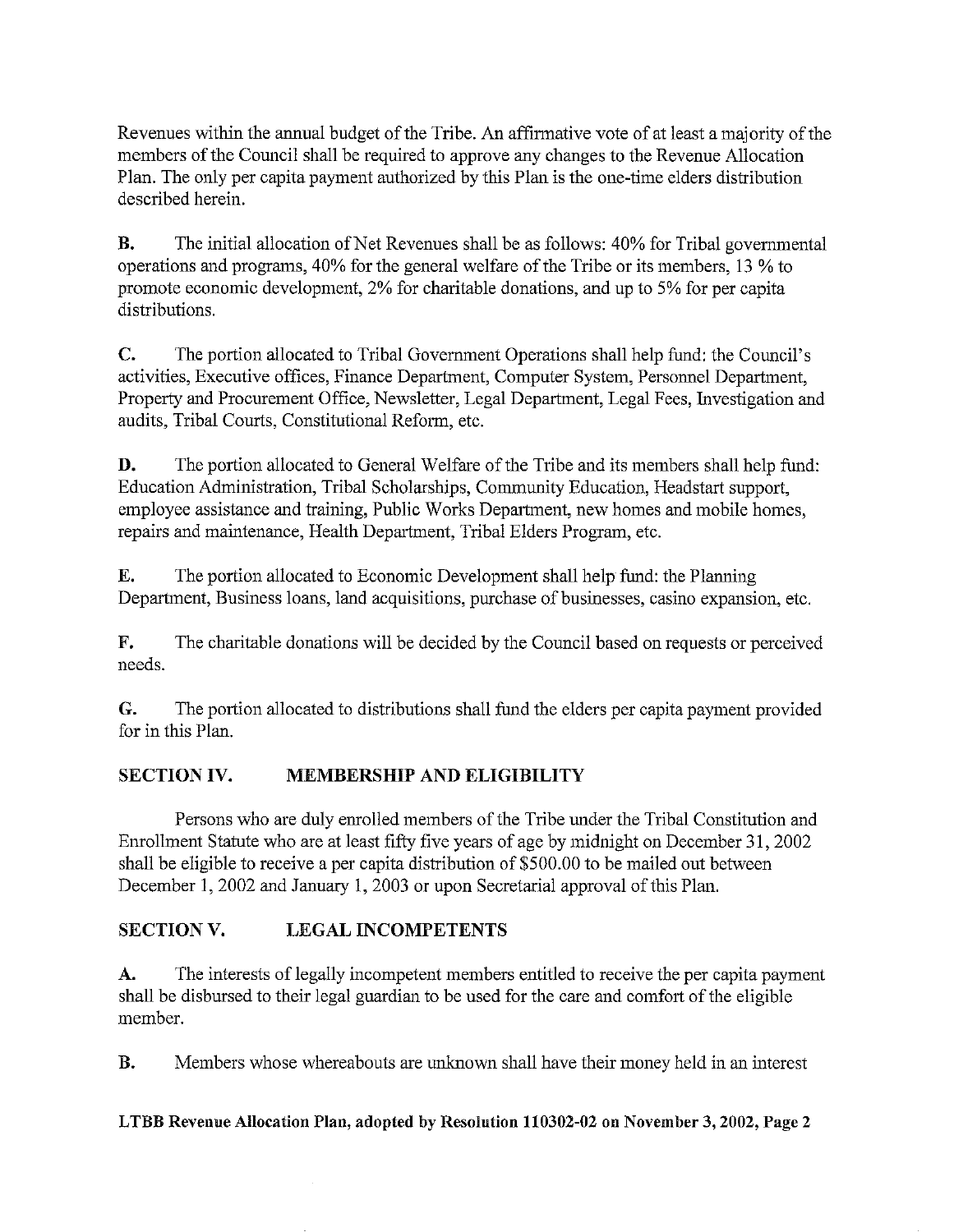Revenues within the annual budget of the Tribe. An affirmative vote of at least a majority of the members of the Council shall be required to approve any changes to the Revenue Allocation Plan. The only per capita payment authorized by this Plan is the one-time elders distribution described herein.

B. The initial allocation of Net Revenues shall be as follows: 40% for Tribal governmental operations and programs, 40% for the general welfare of the Tribe or its members, 13 % to promote economic development, 2% for charitable donations, and up to 5% for per capita distributions.

C. The portion allocated to Tribal Government Operations shall help fund: the Council's activities, Executive offices, Finance Department, Computer System, Personnel Department, Property and Procurement Office, Newsletter, Legal Department, Legal Fees, Investigation and audits, Tribal Courts, Constitutional Reform, etc.

D. The portion allocated to General Welfare of the Tribe and its members shall help fund: Education Administration, Tribal Scholarships, Community Education, Headstart support, employee assistance and training, Public Works Department, new homes and mobile homes, repairs and maintenance, Health Department, Tribal Elders Program, etc.

E. The portion allocated to Economic Development shall help fund: the Planning Department, Business loans, land acquisitions, purchase of businesses, casino expansion, etc.

F. The charitable donations will be decided by the Council based on requests or perceived needs.

G. The portion allocated to distributions shall fund the elders per capita payment provided for in this Plan.

# SECTION IV. MEMBERSHIP AND ELIGIBILITY

Persons who are duly enrolled members of the Tribe under the Tribal Constitution and Enrollment Statute who are at least fifty five years of age by midnight on December 31, 2002 shall be eligible to receive a per capita distribution of \$500.00 to be mailed out between December 1, 2002 and January 1, 2003 or upon Secretarial approval of this Plan.

# SECTION V. LEGAL INCOMPETENTS

A. The interests of legally incompetent members entitled to receive the per capita payment shall be disbursed to their legal guardian to be used for the care and comfort of the eligible member.

B. Members whose whereabouts are unknown shall have their money held in an interest

# LTBB Revenue Allocation Plan, adopted by Resolution 110302-02 on November 3, 2002, Page 2